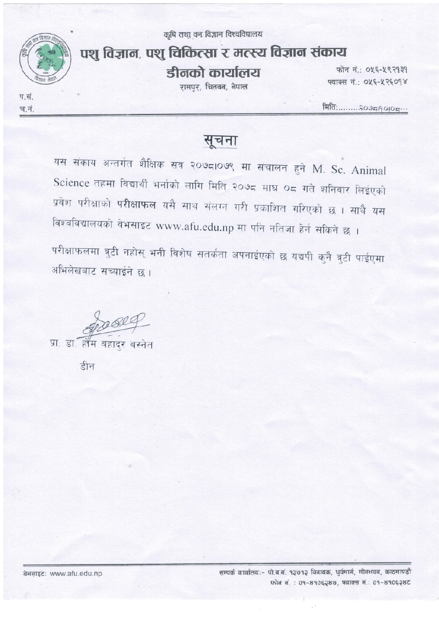कृषि तथा वन विज्ञान विश्वविद्यालय



प.सं.

च.नं.

## पशु विज्ञान, पशु चिकित्सा र मत्स्य विज्ञान संकाय

डीनको कार्यालय

रामपर, चितवन, नेपाल

फोन नं: ०५६-५९२१३१ फ्याक्स नं.: ०५६-५२६०१४

मिति:........२०७८११०१०८…

## सुचना

यस संकाय अन्तर्गत शैक्षिक सत्र २०७८।०७९ मा संचालन हुने M. Sc. Animal Science तहमा विद्यार्थी भर्नाको लागि मिति २०७८ माघ ०८ गते शनिवार लिईएको प्रवेश परीक्षाको **परीक्षाफल** यसै साथ संलग्न गरी प्रकाशित गरिएको छ । साथै यस विश्वविद्यालयको वेभसाइट www.afu.edu.np मा पनि नतिजा हेर्न सकिने छ ।

परीक्षाफलमा त्रुटी नहोस् भनी विशेष सतर्कता अपनाईएको छ यद्यपी कुनै त्रुटी पाईएमा अभिलेखबाट सच्याईने छ।

poel

प्रा. डा. होम बहादुर बस्नेत

हीन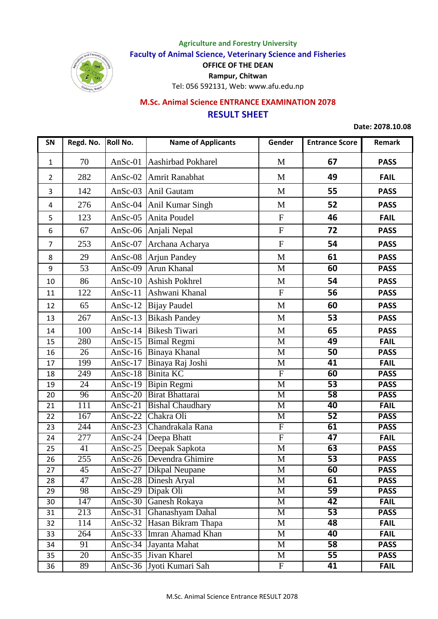

## **Agriculture and Forestry University Faculty of Animal Science, Veterinary Science and Fisheries OFFICE OF THE DEAN Rampur, Chitwan** Tel: 056 592131, Web: www.afu.edu.np

## **RESULT SHEET M.Sc. Animal Science ENTRANCE EXAMINATION 2078**

**Date: 2078.10.08**

| SN             | Regd. No.        | <b>Roll No.</b>       | <b>Name of Applicants</b>  | Gender                  | <b>Entrance Score</b> | Remark      |
|----------------|------------------|-----------------------|----------------------------|-------------------------|-----------------------|-------------|
| 1              | 70               | AnSc- $01$            | <b>Aashirbad Pokharel</b>  | M                       | 67                    | <b>PASS</b> |
| $\overline{2}$ | 282              | AnSc- $02$            | Amrit Ranabhat             | M                       | 49                    | <b>FAIL</b> |
| 3              | 142              | AnSc- $03$            | Anil Gautam                | M                       | 55                    | <b>PASS</b> |
| 4              | 276              | AnSc- $04$            | Anil Kumar Singh           | M                       | 52                    | <b>PASS</b> |
| 5              | 123              | AnSc- $05$            | Anita Poudel               | $\mathbf{F}$            | 46                    | <b>FAIL</b> |
| 6              | 67               | AnSc- $06$            | Anjali Nepal               | ${\bf F}$               | 72                    | <b>PASS</b> |
| $\overline{7}$ | 253              | AnSc- $07$            | Archana Acharya            | ${\bf F}$               | 54                    | <b>PASS</b> |
| 8              | 29               | AnSc- $08$            | <b>Arjun Pandey</b>        | M                       | 61                    | <b>PASS</b> |
| 9              | 53               | AnSc- $09$            | <b>Arun Khanal</b>         | M                       | 60                    | <b>PASS</b> |
| 10             | 86               | AnSc- $10$            | Ashish Pokhrel             | M                       | 54                    | <b>PASS</b> |
| 11             | 122              | AnSc- $11$            | Ashwani Khanal             | F                       | 56                    | <b>PASS</b> |
| 12             | 65               | AnSc- $12$            | <b>Bijay Paudel</b>        | M                       | 60                    | <b>PASS</b> |
| 13             | 267              | AnSc-13               | <b>Bikash Pandey</b>       | M                       | 53                    | <b>PASS</b> |
| 14             | 100              | AnSc- $14$            | <b>Bikesh Tiwari</b>       | M                       | 65                    | <b>PASS</b> |
| 15             | 280              | $Ansc-15$             | <b>Bimal Regmi</b>         | $\overline{\mathbf{M}}$ | 49                    | <b>FAIL</b> |
| 16             | 26               | $Ansc-16$             | Binaya Khanal              | M                       | $\overline{50}$       | <b>PASS</b> |
| 17             | 199              | $Ansc-17$             | Binaya Raj Joshi           | M                       | $\overline{41}$       | <b>FAIL</b> |
| 18             | 249              | $Ansc-18$             | <b>Binita KC</b>           | $\overline{F}$          | 60                    | <b>PASS</b> |
| 19             | $\overline{24}$  | AnSc- $19$            | <b>Bipin Regmi</b>         | $\mathbf{M}$            | 53                    | <b>PASS</b> |
| 20             | $\overline{96}$  | $An Sc-20$            | <b>Birat Bhattarai</b>     | M                       | 58                    | <b>PASS</b> |
| 21             | 111              | AnSc- $21$            | <b>Bishal Chaudhary</b>    | M                       | 40                    | <b>FAIL</b> |
| 22             | 167              | $Ansc-22$             | Chakra Oli                 | $\overline{\mathbf{M}}$ | $\overline{52}$       | <b>PASS</b> |
| 23             | 244              | $Ansc-23$             | Chandrakala Rana           | $\overline{F}$          | 61                    | <b>PASS</b> |
| 24             | $\overline{277}$ |                       | AnSc-24  Deepa Bhatt       | $\overline{F}$          | 47                    | <b>FAIL</b> |
| 25             | $\overline{41}$  |                       | AnSc-25 Deepak Sapkota     | $\overline{\mathbf{M}}$ | 63                    | <b>PASS</b> |
| 26             | 255              |                       | AnSc-26   Devendra Ghimire | M                       | 53                    | <b>PASS</b> |
| 27             | $\overline{45}$  |                       | AnSc-27   Dikpal Neupane   | M                       | 60                    | <b>PASS</b> |
| 28             | 47               | AnSc-28               | Dinesh Aryal               | M                       | 61                    | <b>PASS</b> |
| 29             | 98               | $Ansc-29$             | Dipak Oli                  | M                       | $\overline{59}$       | <b>PASS</b> |
| 30             | 147              | AnSc-30               | Ganesh Rokaya              | M                       | 42                    | <b>FAIL</b> |
| 31             | 213              | AnSc- $31$            | Ghanashyam Dahal           | M                       | $\overline{53}$       | <b>PASS</b> |
| 32             | 114              | AnSc- $3\overline{2}$ | Hasan Bikram Thapa         | M                       | 48                    | <b>FAIL</b> |
| 33             | 264              | AnSc- $33$            | Imran Ahamad Khan          | M                       | 40                    | <b>FAIL</b> |
| 34             | 91               | $AnSc-34$             | Jayanta Mahat              | M                       | $\overline{58}$       | <b>PASS</b> |
| 35             | 20               | AnSc- $35$            | Jivan Kharel               | M                       | 55                    | <b>PASS</b> |
| 36             | 89               | AnSc-36               | Jyoti Kumari Sah           | $\mathbf{F}$            | 41                    | <b>FAIL</b> |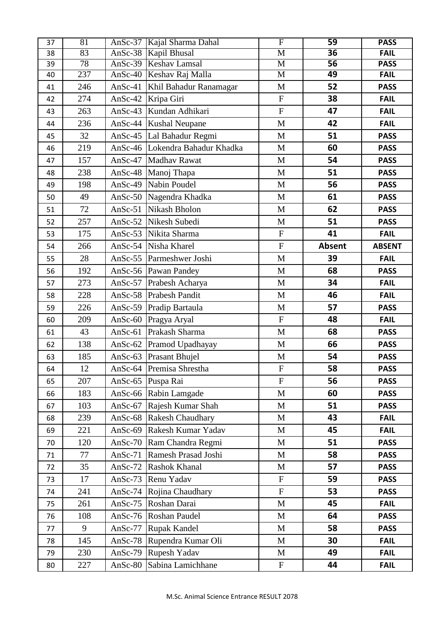| 37 | 81  |            | AnSc-37 Kajal Sharma Dahal      | $\overline{\mathrm{F}}$   | 59              | <b>PASS</b>   |
|----|-----|------------|---------------------------------|---------------------------|-----------------|---------------|
| 38 | 83  |            | AnSc-38 Kapil Bhusal            | $\overline{\mathbf{M}}$   | $\overline{36}$ | <b>FAIL</b>   |
| 39 | 78  | $Ansc-39$  | <b>Keshav Lamsal</b>            | $\mathbf M$               | $\overline{56}$ | <b>PASS</b>   |
| 40 | 237 |            | AnSc-40 Keshav Raj Malla        | M                         | 49              | <b>FAIL</b>   |
| 41 | 246 | AnSc-41    | Khil Bahadur Ranamagar          | $\mathbf M$               | 52              | <b>PASS</b>   |
| 42 | 274 | AnSc-42    | Kripa Giri                      | ${\bf F}$                 | 38              | <b>FAIL</b>   |
| 43 | 263 | AnSc-43    | Kundan Adhikari                 | ${\bf F}$                 | 47              | <b>FAIL</b>   |
| 44 | 236 | AnSc- $44$ | <b>Kushal Neupane</b>           | $\mathbf M$               | 42              | <b>FAIL</b>   |
| 45 | 32  | AnSc-45    | Lal Bahadur Regmi               | M                         | 51              | <b>PASS</b>   |
| 46 | 219 |            | AnSc-46 Lokendra Bahadur Khadka | M                         | 60              | <b>PASS</b>   |
| 47 | 157 | AnSc-47    | Madhav Rawat                    | M                         | 54              | <b>PASS</b>   |
| 48 | 238 |            | AnSc-48 Manoj Thapa             | M                         | 51              | <b>PASS</b>   |
| 49 | 198 |            | AnSc-49 Nabin Poudel            | $\mathbf M$               | 56              | <b>PASS</b>   |
| 50 | 49  |            | AnSc-50 Nagendra Khadka         | M                         | 61              | <b>PASS</b>   |
| 51 | 72  | AnSc- $51$ | Nikash Bholon                   | $\mathbf M$               | 62              | <b>PASS</b>   |
| 52 | 257 |            | AnSc-52 Nikesh Subedi           | $\mathbf M$               | 51              | <b>PASS</b>   |
| 53 | 175 |            | AnSc-53 Nikita Sharma           | ${\bf F}$                 | 41              | <b>FAIL</b>   |
| 54 | 266 |            | AnSc-54 Nisha Kharel            | ${\bf F}$                 | <b>Absent</b>   | <b>ABSENT</b> |
| 55 | 28  | AnSc- $55$ | Parmeshwer Joshi                | M                         | 39              | <b>FAIL</b>   |
| 56 | 192 |            | AnSc-56 Pawan Pandey            | M                         | 68              | <b>PASS</b>   |
| 57 | 273 | AnSc- $57$ | Prabesh Acharya                 | $\mathbf{M}$              | 34              | <b>FAIL</b>   |
| 58 | 228 | AnSc-58    | <b>Prabesh Pandit</b>           | M                         | 46              | <b>FAIL</b>   |
| 59 | 226 |            | AnSc-59 Pradip Bartaula         | M                         | 57              | <b>PASS</b>   |
| 60 | 209 | AnSc- $60$ | Pragya Aryal                    | ${\bf F}$                 | 48              | <b>FAIL</b>   |
| 61 | 43  | AnSc- $61$ | Prakash Sharma                  | M                         | 68              | <b>PASS</b>   |
| 62 | 138 | AnSc- $62$ | Pramod Upadhayay                | $\mathbf{M}$              | 66              | <b>PASS</b>   |
| 63 | 185 |            | AnSc-63 Prasant Bhujel          | $\mathbf{M}$              | 54              | <b>PASS</b>   |
| 64 | 12  |            | AnSc-64 Premisa Shrestha        | $\boldsymbol{\mathrm{F}}$ | 58              | <b>PASS</b>   |
| 65 | 207 | AnSc- $65$ | Puspa Rai                       | $\mathbf{F}$              | 56              | <b>PASS</b>   |
| 66 | 183 |            | AnSc-66 Rabin Lamgade           | $\mathbf{M}$              | 60              | <b>PASS</b>   |
| 67 | 103 | AnSc-67    | Rajesh Kumar Shah               | M                         | 51              | <b>PASS</b>   |
| 68 | 239 |            | AnSc-68 Rakesh Chaudhary        | M                         | 43              | <b>FAIL</b>   |
| 69 | 221 | AnSc- $69$ | Rakesh Kumar Yadav              | M                         | 45              | <b>FAIL</b>   |
| 70 | 120 | AnSc- $70$ | Ram Chandra Regmi               | M                         | 51              | <b>PASS</b>   |
| 71 | 77  | AnSc- $71$ | Ramesh Prasad Joshi             | $\mathbf{M}$              | 58              | <b>PASS</b>   |
| 72 | 35  | AnSc- $72$ | Rashok Khanal                   | M                         | 57              | <b>PASS</b>   |
| 73 | 17  | AnSc- $73$ | Renu Yadav                      | $\boldsymbol{\mathrm{F}}$ | 59              | <b>PASS</b>   |
| 74 | 241 | AnSc- $74$ | Rojina Chaudhary                | ${\bf F}$                 | 53              | <b>PASS</b>   |
| 75 | 261 | AnSc- $75$ | Roshan Darai                    | $\mathbf{M}$              | 45              | <b>FAIL</b>   |
| 76 | 108 | AnSc- $76$ | Roshan Paudel                   | $\mathbf{M}$              | 64              | <b>PASS</b>   |
| 77 | 9   | AnSc-77    | <b>Rupak Kandel</b>             | M                         | 58              | <b>PASS</b>   |
| 78 | 145 | AnSc- $78$ | Rupendra Kumar Oli              | M                         | 30              | <b>FAIL</b>   |
| 79 | 230 | AnSc- $79$ | Rupesh Yadav                    | M                         | 49              | <b>FAIL</b>   |
| 80 | 227 | AnSc-80    | Sabina Lamichhane               | $\boldsymbol{\mathrm{F}}$ | 44              | <b>FAIL</b>   |